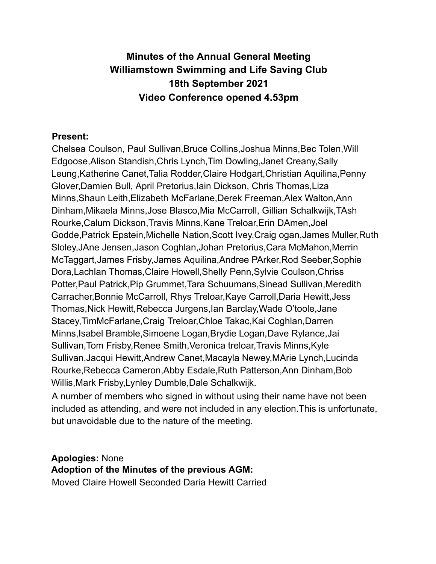# **Minutes of the Annual General Meeting Williamstown Swimming and Life Saving Club 18th September 2021 Video Conference opened 4.53pm**

### **Present:**

Chelsea Coulson, Paul Sullivan,Bruce Collins,Joshua Minns,Bec Tolen,Will Edgoose,Alison Standish,Chris Lynch,Tim Dowling,Janet Creany,Sally Leung,Katherine Canet,Talia Rodder,Claire Hodgart,Christian Aquilina,Penny Glover,Damien Bull, April Pretorius,Iain Dickson, Chris Thomas,Liza Minns,Shaun Leith,Elizabeth McFarlane,Derek Freeman,Alex Walton,Ann Dinham,Mikaela Minns,Jose Blasco,Mia McCarroll, Gillian Schalkwijk,TAsh Rourke,Calum Dickson,Travis Minns,Kane Treloar,Erin DAmen,Joel Godde,Patrick Epstein,Michelle Nation,Scott Ivey,Craig ogan,James Muller,Ruth Sloley,JAne Jensen,Jason Coghlan,Johan Pretorius,Cara McMahon,Merrin McTaggart,James Frisby,James Aquilina,Andree PArker,Rod Seeber,Sophie Dora,Lachlan Thomas,Claire Howell,Shelly Penn,Sylvie Coulson,Chriss Potter,Paul Patrick,Pip Grummet,Tara Schuumans,Sinead Sullivan,Meredith Carracher,Bonnie McCarroll, Rhys Treloar,Kaye Carroll,Daria Hewitt,Jess Thomas,Nick Hewitt,Rebecca Jurgens,Ian Barclay,Wade O'toole,Jane Stacey,TimMcFarlane,Craig Treloar,Chloe Takac,Kai Coghlan,Darren Minns,Isabel Bramble,Simoene Logan,Brydie Logan,Dave Rylance,Jai Sullivan,Tom Frisby,Renee Smith,Veronica treloar,Travis Minns,Kyle Sullivan,Jacqui Hewitt,Andrew Canet,Macayla Newey,MArie Lynch,Lucinda Rourke,Rebecca Cameron,Abby Esdale,Ruth Patterson,Ann Dinham,Bob Willis,Mark Frisby,Lynley Dumble,Dale Schalkwijk.

A number of members who signed in without using their name have not been included as attending, and were not included in any election.This is unfortunate, but unavoidable due to the nature of the meeting.

# **Apologies:** None **Adoption of the Minutes of the previous AGM:**

Moved Claire Howell Seconded Daria Hewitt Carried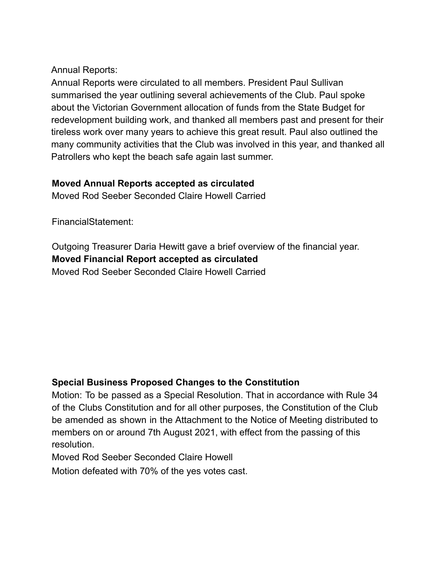Annual Reports:

Annual Reports were circulated to all members. President Paul Sullivan summarised the year outlining several achievements of the Club. Paul spoke about the Victorian Government allocation of funds from the State Budget for redevelopment building work, and thanked all members past and present for their tireless work over many years to achieve this great result. Paul also outlined the many community activities that the Club was involved in this year, and thanked all Patrollers who kept the beach safe again last summer.

# **Moved Annual Reports accepted as circulated**

Moved Rod Seeber Seconded Claire Howell Carried

FinancialStatement:

Outgoing Treasurer Daria Hewitt gave a brief overview of the financial year. **Moved Financial Report accepted as circulated** Moved Rod Seeber Seconded Claire Howell Carried

# **Special Business Proposed Changes to the Constitution**

Motion: To be passed as a Special Resolution. That in accordance with Rule 34 of the Clubs Constitution and for all other purposes, the Constitution of the Club be amended as shown in the Attachment to the Notice of Meeting distributed to members on or around 7th August 2021, with effect from the passing of this resolution.

Moved Rod Seeber Seconded Claire Howell

Motion defeated with 70% of the yes votes cast.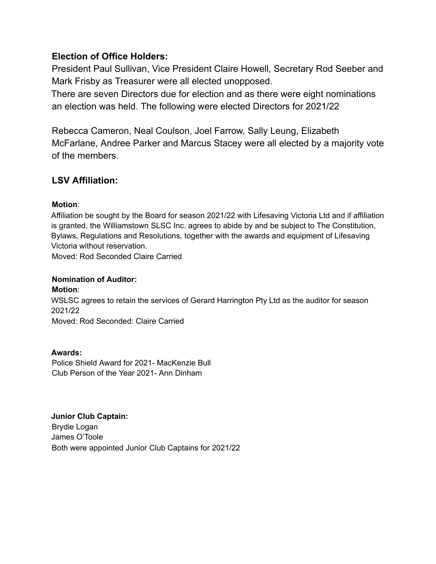### **Election of Office Holders:**

President Paul Sullivan, Vice President Claire Howell, Secretary Rod Seeber and Mark Frisby as Treasurer were all elected unopposed.

There are seven Directors due for election and as there were eight nominations an election was held. The following were elected Directors for 2021/22

Rebecca Cameron, Neal Coulson, Joel Farrow, Sally Leung, Elizabeth McFarlane, Andree Parker and Marcus Stacey were all elected by a majority vote of the members.

# **LSV Affiliation:**

#### **Motion**:

Affiliation be sought by the Board for season 2021/22 with Lifesaving Victoria Ltd and if affiliation is granted, the Williamstown SLSC Inc. agrees to abide by and be subject to The Constitution, Bylaws, Regulations and Resolutions, together with the awards and equipment of Lifesaving Victoria without reservation.

Moved: Rod Seconded Claire Carried

#### **Nomination of Auditor:**

**Motion**: WSLSC agrees to retain the services of Gerard Harrington Pty Ltd as the auditor for season 2021/22 Moved: Rod Seconded: Claire Carried

# **Awards:**

Police Shield Award for 2021- MacKenzie Bull Club Person of the Year 2021- Ann Dinham

#### **Junior Club Captain:**

Brydie Logan James O'Toole Both were appointed Junior Club Captains for 2021/22